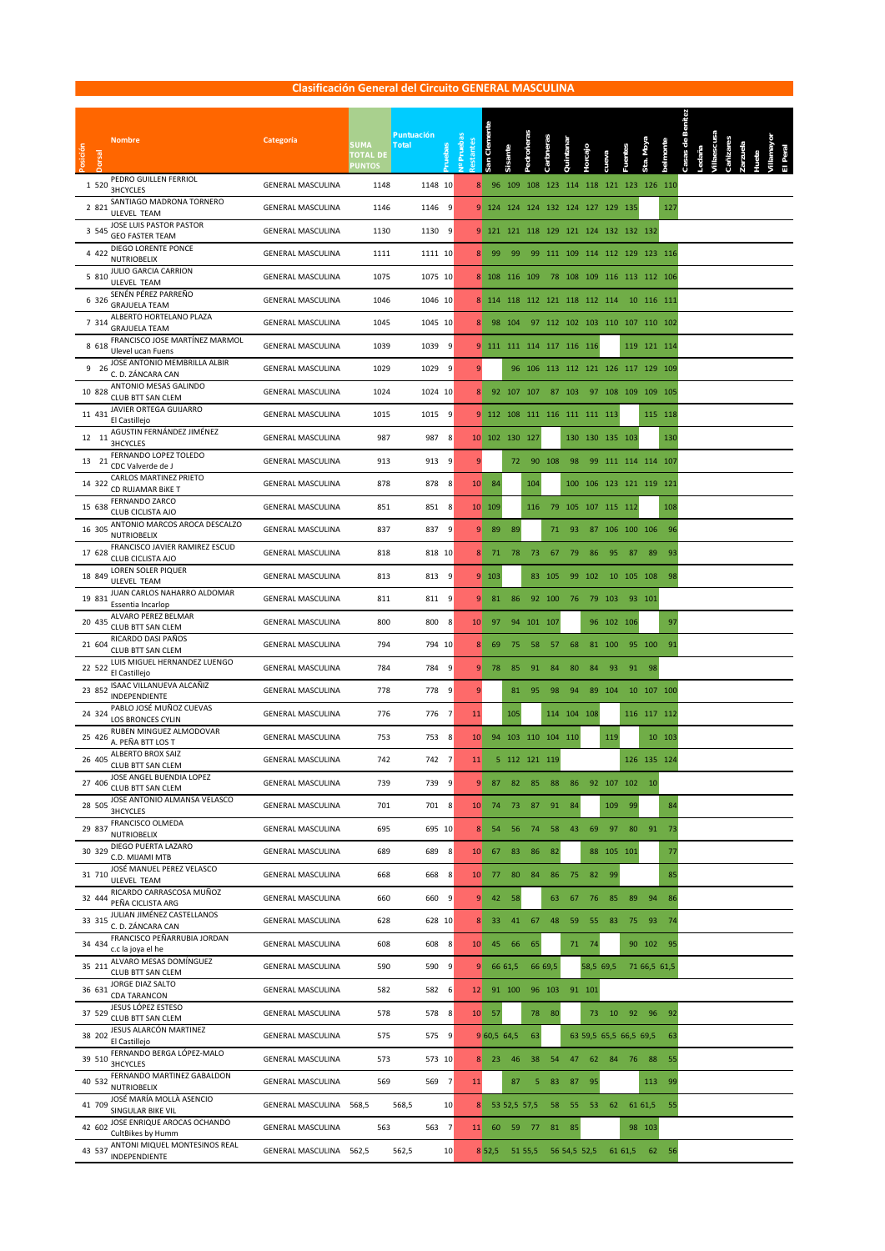|                                                                                |                          |                                  | <b>Clasificación General del Circuito GENERAL MASCULINA</b> |                       |           |                                     |            |           |                 |                        |            |            |                                    |        |
|--------------------------------------------------------------------------------|--------------------------|----------------------------------|-------------------------------------------------------------|-----------------------|-----------|-------------------------------------|------------|-----------|-----------------|------------------------|------------|------------|------------------------------------|--------|
|                                                                                |                          |                                  |                                                             |                       |           |                                     |            |           |                 |                        |            |            |                                    |        |
| <b>Nombre</b>                                                                  | Categoría                | <b>SUMA</b>                      | <b>Puntuación</b>                                           |                       | Clemente  |                                     |            |           |                 |                        |            |            |                                    |        |
| Posición<br>Jorsal                                                             |                          | <b>TOTAL DE</b><br><b>PUNTOS</b> | <b>Total</b>                                                | I <sup>o</sup> Prueba | San       | Sisante                             | Pedroñeras | Carbneras | Quintanaı       | <b>Horcajo</b>         | cueva      |            |                                    |        |
| PEDRO GUILLEN FERRIOL<br>1 5 2 0<br><b>3HCYCLES</b>                            | <b>GENERAL MASCULINA</b> | 1148                             | 1148 10                                                     | 8                     | 96        | 109                                 |            |           |                 |                        |            |            | 108 123 114 118 121 123 126 110    |        |
| SANTIAGO MADRONA TORNERO<br>2 8 2 1<br><b>ULEVEL TEAM</b>                      | <b>GENERAL MASCULINA</b> | 1146                             | 9<br>1146                                                   |                       |           | 9 124 124 124 132 124 127 129 135   |            |           |                 |                        |            |            |                                    | 127    |
| JOSE LUIS PASTOR PASTOR<br>3 5 4 5                                             | <b>GENERAL MASCULINA</b> | 1130                             | 1130<br>9                                                   | 9                     |           | 121 121 118 129 121 124 132 132 132 |            |           |                 |                        |            |            |                                    |        |
| <b>GEO FASTER TEAM</b><br>DIEGO LORENTE PONCE<br>4 4 2 2<br><b>NUTRIOBELIX</b> | <b>GENERAL MASCULINA</b> | 1111                             | 1111 10                                                     | 8                     | 99        | 99                                  |            |           |                 |                        |            |            | 99 111 109 114 112 129 123 116     |        |
| JULIO GARCIA CARRION<br>5 8 1 0<br><b>ULEVEL TEAM</b>                          | <b>GENERAL MASCULINA</b> | 1075                             | 1075 10                                                     |                       |           | 8 108 116 109                       |            |           |                 |                        |            |            | 78 108 109 116 113 112 106         |        |
| SENÉN PÉREZ PARREÑO<br>6 3 2 6<br><b>GRAJUELA TEAM</b>                         | <b>GENERAL MASCULINA</b> | 1046                             | 1046 10                                                     |                       |           | 8 114 118 112 121 118 112 114       |            |           |                 |                        |            |            | 10 116 111                         |        |
| ALBERTO HORTELANO PLAZA<br>7 3 1 4<br><b>GRAJUELA TEAM</b>                     | <b>GENERAL MASCULINA</b> | 1045                             | 1045 10                                                     | 8                     |           | 98 104                              |            |           |                 |                        |            |            | 97 112 102 103 110 107 110 102     |        |
| FRANCISCO JOSE MARTÍNEZ MARMOL<br>8 6 18<br>Ulevel ucan Fuens                  | <b>GENERAL MASCULINA</b> | 1039                             | 1039<br>9                                                   | 9                     |           | 111 111 114 117 116 116             |            |           |                 |                        |            |            | 119 121 114                        |        |
| JOSE ANTONIO MEMBRILLA ALBIR<br>9 26<br>C. D. ZÁNCARA CAN                      | <b>GENERAL MASCULINA</b> | 1029                             | 1029<br>9                                                   | 9                     |           |                                     |            |           |                 |                        |            |            | 96 106 113 112 121 126 117 129 109 |        |
| ANTONIO MESAS GALINDO<br>10 828                                                | <b>GENERAL MASCULINA</b> | 1024                             | 1024 10                                                     | 8                     |           | 92 107 107                          |            |           | 87 103          |                        |            |            | 97 108 109 109 105                 |        |
| CLUB BTT SAN CLEM<br>JAVIER ORTEGA GUIJARRO<br>11 431                          | <b>GENERAL MASCULINA</b> | 1015                             | 1015<br>9                                                   |                       |           | 9 112 108 111 116 111 111 113       |            |           |                 |                        |            |            | 115 118                            |        |
| El Castillejo<br>AGUSTIN FERNÁNDEZ JIMÉNEZ<br>12 11                            | <b>GENERAL MASCULINA</b> | 987                              | 987<br>8                                                    |                       |           | 10 102 130 127                      |            |           |                 | 130 130 135 103        |            |            |                                    | 130    |
| <b>3HCYCLES</b><br>FERNANDO LOPEZ TOLEDO<br>13 21                              | <b>GENERAL MASCULINA</b> | 913                              | 913<br>9                                                    | 9                     |           | 72                                  |            | 90 108    | 98              |                        |            |            | 99 111 114 114 107                 |        |
| CDC Valverde de J<br>CARLOS MARTINEZ PRIETO<br>14 322<br>CD RUJAMAR BIKE T     | <b>GENERAL MASCULINA</b> | 878                              | 8<br>878                                                    | 10 <sub>1</sub>       | 84        |                                     | 104        |           |                 |                        |            |            | 100 106 123 121 119 121            |        |
| FERNANDO ZARCO<br>15 638<br>CLUB CICLISTA AJO                                  | <b>GENERAL MASCULINA</b> | 851                              | 851<br>- 8                                                  |                       | 10 109    |                                     | 116        | 79        | 105 107 115 112 |                        |            |            |                                    | 108    |
| ANTONIO MARCOS AROCA DESCALZO<br>16 305<br><b>NUTRIOBELIX</b>                  | <b>GENERAL MASCULINA</b> | 837                              | 837 9                                                       | ♦                     | 89        | 89                                  |            | 71        | 93              |                        |            |            | 87 106 100 106                     | 96     |
| FRANCISCO JAVIER RAMIREZ ESCUD<br>17 628<br>CLUB CICLISTA AJO                  | <b>GENERAL MASCULINA</b> | 818                              | 818 10                                                      | 8 <sup>2</sup>        | 71        | 78                                  | 73         | 67        | 79              | 86                     | 95         | 87         | 89                                 | 93     |
| LOREN SOLER PIQUER<br>18 849<br>ULEVEL TEAM                                    | <b>GENERAL MASCULINA</b> | 813                              | 813<br>- 9                                                  |                       | 9 103     |                                     |            | 83 105    | 99              | 102                    |            | 10 105 108 |                                    | 98     |
| JUAN CARLOS NAHARRO ALDOMAR<br>19 831<br>Essentia Incarlop                     | <b>GENERAL MASCULINA</b> | 811                              | 9<br>811                                                    | 9                     | 81        | 86                                  |            | 92 100    | 76              |                        | 79 103     |            | 93 101                             |        |
| ALVARO PEREZ BELMAR<br>20 435<br>CLUB BTT SAN CLEM                             | <b>GENERAL MASCULINA</b> | 800                              | 800<br>8                                                    | 10                    | 97        |                                     | 94 101 107 |           |                 |                        | 96 102     | 106        |                                    | 97     |
| RICARDO DASI PAÑOS<br>21 604<br><b>CLUB BTT SAN CLEM</b>                       | <b>GENERAL MASCULINA</b> | 794                              | 794 10                                                      | 8                     | 69        | 75                                  | 58         | - 57      | 68              |                        | 81 100     |            | 95 100                             | 91     |
| LUIS MIGUEL HERNANDEZ LUENGO<br>22 522<br>El Castillejo                        | <b>GENERAL MASCULINA</b> | 784                              | 784<br>- 9                                                  | 9                     | 78        | 85                                  | 91         | 84        | 80              | 84                     | 93         | 91         | 98                                 |        |
| ISAAC VILLANUEVA ALCAÑIZ<br>23 852<br>INDEPENDIENTE                            | <b>GENERAL MASCULINA</b> | 778                              | 778 9                                                       | 9                     |           | 81                                  | 95         | 98        | 94              |                        | 89 104     |            | 10 107 100                         |        |
| PABLO JOSÉ MUÑOZ CUEVAS<br>24 324<br>LOS BRONCES CYLIN                         | <b>GENERAL MASCULINA</b> | 776                              | 776<br>$\overline{7}$                                       | 11                    |           | 105                                 |            |           | 114 104 108     |                        |            |            | 116 117 112                        |        |
| RUBEN MINGUEZ ALMODOVAR<br>25 426<br>A. PEÑA BTT LOS T                         | <b>GENERAL MASCULINA</b> | 753                              | 753<br>8                                                    | 10                    |           | 94 103 110 104 110                  |            |           |                 |                        | 119        |            |                                    | 10 103 |
| ALBERTO BROX SAIZ<br>26 405<br>CLUB BTT SAN CLEM                               | <b>GENERAL MASCULINA</b> | 742                              | 742<br>$\overline{7}$                                       | 11                    |           | 5 112 121 119                       |            |           |                 |                        |            |            | 126 135 124                        |        |
| JOSE ANGEL BUENDIA LOPEZ<br>27 406<br>CLUB BTT SAN CLEM                        | <b>GENERAL MASCULINA</b> | 739                              | 739<br>- 9                                                  | 9                     | 87        | 82                                  | 85         | 88        | 86              |                        | 92 107 102 |            | 10                                 |        |
| JOSE ANTONIO ALMANSA VELASCO<br>28 505<br><b>3HCYCLES</b>                      | <b>GENERAL MASCULINA</b> | 701                              | 701 8                                                       | 10                    | 74        | 73                                  | 87         | 91        | 84              |                        | 109        | 99         |                                    | 84     |
| FRANCISCO OLMEDA<br>29 837<br>NUTRIOBELIX                                      | <b>GENERAL MASCULINA</b> | 695                              | 695 10                                                      | 8                     | 54        | 56                                  | 74         | 58        | 43              | 69                     | 97         | 80         | 91                                 | 73     |
| DIEGO PUERTA LAZARO<br>30 329<br>C.D. MIJAMI MTB                               | <b>GENERAL MASCULINA</b> | 689                              | 689<br>- 8                                                  | 10                    | 67        | 83                                  | 86         | 82        |                 | 88                     | 105 101    |            |                                    | 77     |
| JOSÉ MANUEL PEREZ VELASCO<br>31 710<br>ULEVEL TEAM                             | <b>GENERAL MASCULINA</b> | 668                              | 668<br>- 8                                                  | 10                    | 77        | 80                                  | 84         | 86        | 75              | 82                     | 99         |            |                                    | 85     |
| RICARDO CARRASCOSA MUÑOZ<br>32 444<br>PEÑA CICLISTA ARG                        | <b>GENERAL MASCULINA</b> | 660                              | 660<br>9                                                    | 9                     | 42        | 58                                  |            | 63        | 67              | 76                     | 85         | 89         | 94                                 | 86     |
| JULIAN JIMÉNEZ CASTELLANOS<br>33 315<br>C. D. ZÁNCARA CAN                      | <b>GENERAL MASCULINA</b> | 628                              | 628 10                                                      | 8 <sup>1</sup>        | 33        | 41                                  | 67         | 48        | 59              | 55                     | 83         | 75         | 93                                 | 74     |
| FRANCISCO PEÑARRUBIA JORDAN<br>34 434<br>c.c la joya el he                     | <b>GENERAL MASCULINA</b> | 608                              | 608 8                                                       | 10                    | 45        | 66                                  | 65         |           | 71              | 74                     |            |            | 90 102                             | 95     |
| ALVARO MESAS DOMÍNGUEZ<br>35 211<br>CLUB BTT SAN CLEM                          | <b>GENERAL MASCULINA</b> | 590                              | 590 9                                                       | 9                     |           | 66 61,5                             |            | 66 69,5   |                 | 58,5 69,5              |            |            | 71 66,5 61,5                       |        |
| <b>JORGE DIAZ SALTO</b><br>36 631<br>CDA TARANCON                              | <b>GENERAL MASCULINA</b> | 582                              | 582 6                                                       | 12                    |           | 91 100                              |            | 96 103    |                 | 91 101                 |            |            |                                    |        |
| JESUS LÓPEZ ESTESO<br>37 529<br>CLUB BTT SAN CLEM                              | <b>GENERAL MASCULINA</b> | 578                              | 578 8                                                       | 10                    | 57        |                                     | 78         | 80        |                 | 73                     | 10         |            | 92 96                              | 92     |
| JESUS ALARCÓN MARTINEZ<br>38 202<br>El Castillejo                              | <b>GENERAL MASCULINA</b> | 575                              | 575 9                                                       |                       | 960,564,5 |                                     | 63         |           |                 | 63 59,5 65,5 66,5 69,5 |            |            |                                    | 63     |
| FERNANDO BERGA LÓPEZ-MALO<br>39 510<br><b>3HCYCLES</b>                         | <b>GENERAL MASCULINA</b> | 573                              | 573 10                                                      | 8 <sup>2</sup>        | 23        | 46                                  | 38         | 54        | 47              | 62                     | 84         | 76         | 88                                 | 55     |
| FERNANDO MARTINEZ GABALDON<br>40 532<br><b>NUTRIOBELIX</b>                     | <b>GENERAL MASCULINA</b> | 569                              | 569 7                                                       | 11                    |           | 87                                  | 5          | 83        | 87              | 95                     |            |            | 113                                | 99     |
| JOSÉ MARÍA MOLLÀ ASENCIO<br>41 709<br>SINGULAR BIKE VIL                        | GENERAL MASCULINA 568,5  |                                  | 568,5<br>10                                                 | 8                     |           | 53 52,5 57,5                        |            | 58        | 55              | 53                     | 62         |            | 61 61,5                            | 55     |
| JOSE ENRIQUE AROCAS OCHANDO<br>42 602<br>CultBikes by Humm                     | <b>GENERAL MASCULINA</b> | 563                              | 563 7                                                       | 11                    | 60        | 59                                  | -77        | 81        | 85              |                        |            |            | 98 103                             |        |
| ANTONI MIQUEL MONTESINOS REAL<br>43 537<br>INDEPENDIENTE                       | GENERAL MASCULINA 562,5  |                                  | 10<br>562,5                                                 |                       | 8 52,5    |                                     | 51 55,5    |           | 56 54,5 52,5    |                        |            | 61 61,5    | 62                                 | - 56   |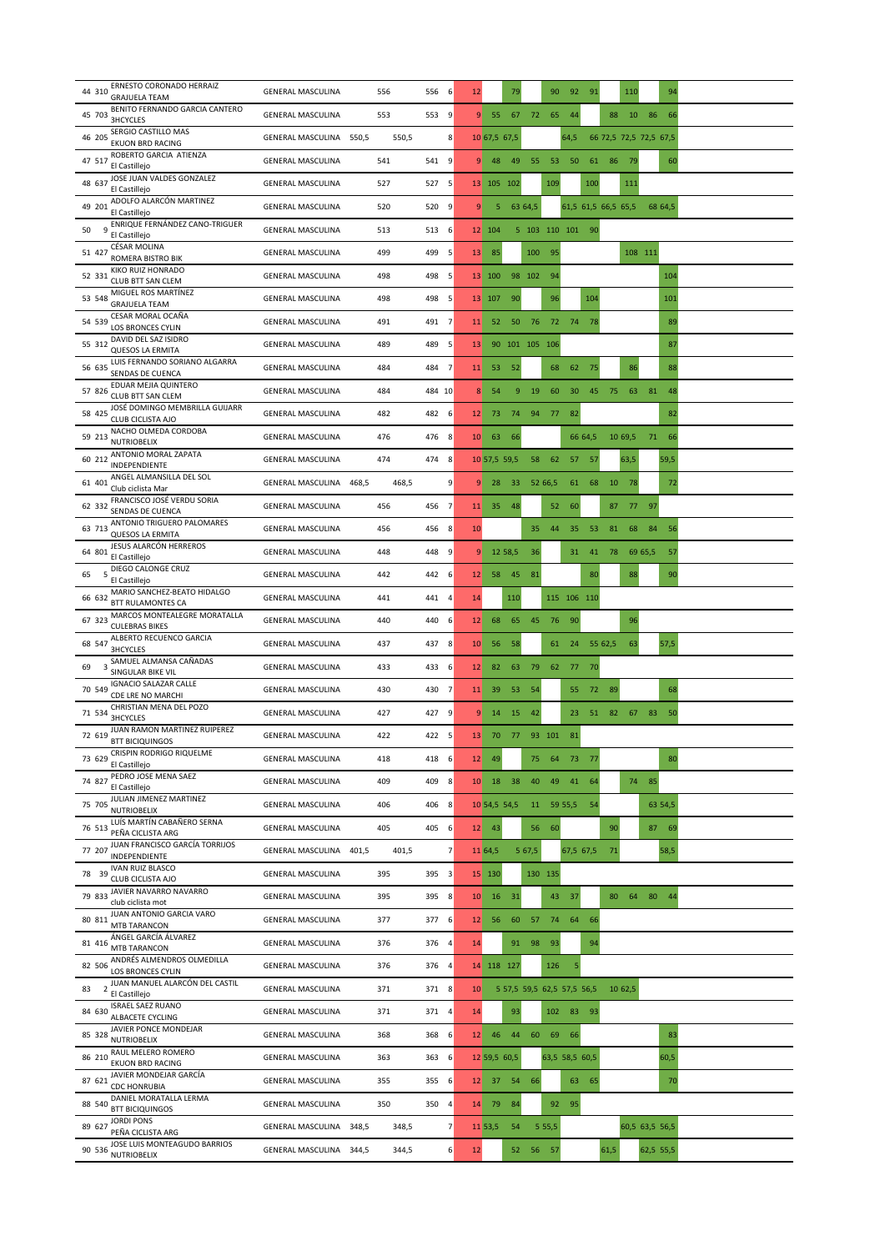| ERNESTO CORONADO HERRAIZ<br>44 310<br><b>GRAJUELA TEAM</b>                        | <b>GENERAL MASCULINA</b>          | 556<br>556<br>6                   | 12              | 79                         |               | 90        | 92             | 91      |                     | 110                    | 94        |  |
|-----------------------------------------------------------------------------------|-----------------------------------|-----------------------------------|-----------------|----------------------------|---------------|-----------|----------------|---------|---------------------|------------------------|-----------|--|
| BENITO FERNANDO GARCIA CANTERO<br>45 703<br>3HCYCLES                              | <b>GENERAL MASCULINA</b>          | 553<br>553<br>9                   | 9               | 55<br>67                   | 72            | 65        | 44             |         | 88                  | 10                     | 86<br>66  |  |
| SERGIO CASTILLO MAS<br>46 205<br><b>EKUON BRD RACING</b>                          | GENERAL MASCULINA 550,5           | 550,5<br>8                        |                 | 10 67,5 67,5               |               |           | 64,5           |         |                     | 66 72,5 72,5 72,5 67,5 |           |  |
| ROBERTO GARCIA ATIENZA<br>47 517<br>El Castilleio                                 | <b>GENERAL MASCULINA</b>          | 541<br>541 9                      | 9               | 49<br>48                   | 55            | 53        | 50             | 61      | 86                  | 79                     | 60        |  |
| JOSE JUAN VALDES GONZALEZ<br>48 637<br>El Castillejo                              | <b>GENERAL MASCULINA</b>          | 527<br>527<br>-5                  |                 | 13 105 102                 |               | 109       |                | 100     |                     | 111                    |           |  |
| ADOLFO ALARCÓN MARTINEZ<br>49 201<br>El Castillejo                                | <b>GENERAL MASCULINA</b>          | 520<br>520 9                      | 9               | 5                          | 63 64,5       |           |                |         | 61,5 61,5 66,5 65,5 |                        | 68 64,5   |  |
| ENRIQUE FERNÁNDEZ CANO-TRIGUER<br>9<br>50<br>El Castillejo                        | <b>GENERAL MASCULINA</b>          | 513<br>513<br>6                   |                 | 12 104                     | 5 103 110 101 |           |                | 90      |                     |                        |           |  |
| <b>CÉSAR MOLINA</b><br>51 427<br>ROMERA BISTRO BIK                                | <b>GENERAL MASCULINA</b>          | 499<br>499<br>5                   | 13              | 85                         | 100           | 95        |                |         |                     | 108 111                |           |  |
| KIKO RUIZ HONRADO<br>52 331<br>CLUB BTT SAN CLEM                                  | <b>GENERAL MASCULINA</b>          | 498<br>498<br>5                   |                 | 13 100                     | 98 102        | 94        |                |         |                     |                        | 104       |  |
| MIGUEL ROS MARTÍNEZ<br>53 548<br><b>GRAJUELA TEAM</b>                             | <b>GENERAL MASCULINA</b>          | 498<br>498 5                      |                 | 13 107<br>90               |               | 96        |                | 104     |                     |                        | 101       |  |
| CESAR MORAL OCAÑA<br>54 539<br>LOS BRONCES CYLIN                                  | <b>GENERAL MASCULINA</b>          | 491<br>491 7                      | 11              | 50<br>52                   | 76            | 72        | 74             | - 78    |                     |                        | 89        |  |
| DAVID DEL SAZ ISIDRO<br>55 312<br><b>QUESOS LA ERMITA</b>                         | <b>GENERAL MASCULINA</b>          | 489<br>489<br>5                   | 13              | 90 101 105 106             |               |           |                |         |                     |                        | 87        |  |
| LUIS FERNANDO SORIANO ALGARRA<br>56 635<br>SENDAS DE CUENCA                       | <b>GENERAL MASCULINA</b>          | $\overline{7}$<br>484<br>484      | 11              | 52<br>53                   |               | 68        | 62             | 75      |                     | 86                     | 88        |  |
| EDUAR MEJIA QUINTERO<br>57 826<br>CLUB BTT SAN CLEM                               | <b>GENERAL MASCULINA</b>          | 484<br>484 10                     | 8               | 9<br>54                    | 19            | 60        | 30             | 45      | 75                  | 63<br>81               | 48        |  |
| JOSÉ DOMINGO MEMBRILLA GUIJARR<br>58 425<br>CLUB CICLISTA AJO                     | <b>GENERAL MASCULINA</b>          | 482<br>482 6                      | 12 <sup>2</sup> | 73<br>74                   | 94            | 77        | 82             |         |                     |                        | 82        |  |
| NACHO OLMEDA CORDOBA<br>59 213<br><b>NUTRIOBELIX</b>                              | <b>GENERAL MASCULINA</b>          | 476<br>476 8                      | 10              | 63<br>66                   |               |           |                | 66 64,5 | 10 69,5             |                        | 71 66     |  |
| ANTONIO MORAL ZAPATA<br>60 212<br>INDEPENDIENTE                                   | <b>GENERAL MASCULINA</b>          | 474<br>474 8                      |                 | 10 57,5 59,5               | 58            | 62        |                | 57 57   |                     | 63,5                   | 59,5      |  |
| ANGEL ALMANSILLA DEL SOL<br>61 401<br>Club ciclista Mar                           | <b>GENERAL MASCULINA</b><br>468,5 | 9<br>468,5                        | 9               | 28<br>33                   |               | 52 66,5   | 61             | 68      | 10                  | - 78                   | 72        |  |
| FRANCISCO JOSÉ VERDU SORIA<br>62 332<br>SENDAS DE CUENCA                          | <b>GENERAL MASCULINA</b>          | 456<br>456 7                      | 11              | 35<br>48                   |               | 52        | 60             |         | 87                  | 77 97                  |           |  |
| ANTONIO TRIGUERO PALOMARES<br>63 713<br><b>QUESOS LA ERMITA</b>                   | <b>GENERAL MASCULINA</b>          | 456<br>8<br>456                   | 10              |                            | 35            | 44        | 35             | 53      | 81                  | 68<br>84               | 56        |  |
| JESUS ALARCÓN HERREROS<br>64 801<br>El Castillejo                                 | <b>GENERAL MASCULINA</b>          | 448<br>448<br>9                   | 9               | 12 58,5                    | 36            |           | 31             | 41      | 78                  | 69 65,5                | 57        |  |
| DIEGO CALONGE CRUZ<br>65<br>5<br>El Castillejo                                    | <b>GENERAL MASCULINA</b>          | 442<br>442 6                      | 12              | 58<br>45                   | 81            |           |                | 80      |                     | 88                     | 90        |  |
| MARIO SANCHEZ-BEATO HIDALGO<br>66 632<br><b>BTT RULAMONTES CA</b>                 | <b>GENERAL MASCULINA</b>          | 441<br>441 4                      | 14              | 110                        |               |           | 115 106 110    |         |                     |                        |           |  |
| MARCOS MONTEALEGRE MORATALLA<br>67 323<br><b>CULEBRAS BIKES</b>                   | <b>GENERAL MASCULINA</b>          | 440<br>440<br>-6                  | 12              | 68<br>65                   | 45            | 76        | 90             |         |                     | 96                     |           |  |
| ALBERTO RECUENCO GARCIA<br>68 547<br><b>3HCYCLES</b>                              | <b>GENERAL MASCULINA</b>          | 437<br>437 8                      | 10              | 58<br>56                   |               | 61        | 24             | 55 62,5 |                     | 63                     | 57,5      |  |
| SAMUEL ALMANSA CAÑADAS<br>3<br>69<br>SINGULAR BIKE VIL                            | <b>GENERAL MASCULINA</b>          | 433<br>433<br>-6                  | 12              | 82<br>63                   | 79            | 62        | 77             | 70      |                     |                        |           |  |
| <b>IGNACIO SALAZAR CALLE</b><br>70 549<br>CDE LRE NO MARCHI                       | <b>GENERAL MASCULINA</b>          | 430<br>430<br>$\overline{7}$      | 11              | 39<br>53                   | 54            |           | 55             | 72      | 89                  |                        | 68        |  |
| CHRISTIAN MENA DEL POZO<br>71 534<br><b>3HCYCLES</b>                              | <b>GENERAL MASCULINA</b>          | 427<br>427 9                      | 9               | 14<br>15                   | 42            |           | 23             | 51      | 82                  | 67<br>83               | 50        |  |
| JUAN RAMON MARTINEZ RUIPEREZ<br>72 619<br><b>BTT BICIQUINGOS</b>                  | <b>GENERAL MASCULINA</b>          | 422<br>422 5                      | 13 <sup>°</sup> | 70 77 93 101               |               |           | 81             |         |                     |                        |           |  |
| CRISPIN RODRIGO RIQUELME<br>73 629<br>El Castillejo                               | <b>GENERAL MASCULINA</b>          | 418<br>418 6                      | 12              | 49                         | 75            | 64        | 73             | - 77    |                     |                        | 80        |  |
| PEDRO JOSE MENA SAEZ<br>74 827<br>El Castillejo                                   | <b>GENERAL MASCULINA</b>          | 409<br>409 8                      | 10              | 38<br>18                   | 40            | 49        | 41             | 64      |                     | 74 85                  |           |  |
| JULIAN JIMENEZ MARTINEZ<br>75 705<br><b>NUTRIOBELIX</b>                           | <b>GENERAL MASCULINA</b>          | 406 8<br>406                      |                 | 10 54,5 54,5               | 11            | 59 55,5   |                | 54      |                     |                        | 63 54,5   |  |
| LUÍS MARTÍN CABAÑERO SERNA<br>76 513<br>PEÑA CICLISTA ARG                         | <b>GENERAL MASCULINA</b>          | 405<br>405 6                      | 12              | 43                         | 56            | 60        |                |         | 90                  |                        | 87 69     |  |
| JUAN FRANCISCO GARCÍA TORRIJOS<br>77 207<br>INDEPENDIENTE                         | GENERAL MASCULINA 401,5           | 401,5<br>$\overline{\phantom{a}}$ | 11 64,5         |                            | 5 67,5        |           | 67,5 67,5      |         | 71                  |                        | 58,5      |  |
| <b>IVAN RUIZ BLASCO</b><br>78 39<br>CLUB CICLISTA AJO                             | <b>GENERAL MASCULINA</b>          | 395<br>395 3                      |                 | 15 130                     |               | 130 135   |                |         |                     |                        |           |  |
| JAVIER NAVARRO NAVARRO<br>79 833<br>club ciclista mot                             | <b>GENERAL MASCULINA</b>          | 395 8<br>395                      | 10              | 16<br>31                   |               | 43        | 37             |         | 80                  | 64                     | 80 44     |  |
| JUAN ANTONIO GARCIA VARO<br>80 811<br>MTB TARANCON                                | <b>GENERAL MASCULINA</b>          | 377<br>377 6                      | 12              | 60<br>56                   | 57            | 74        | 64             | 66      |                     |                        |           |  |
| ÁNGEL GARCÍA ÁLVAREZ<br>81 416<br><b>MTB TARANCON</b>                             | <b>GENERAL MASCULINA</b>          | 376<br>376<br>$\overline{a}$      | 14              | 91                         | 98            | 93        |                | 94      |                     |                        |           |  |
| ANDRÉS ALMENDROS OLMEDILLA<br>82 506<br>LOS BRONCES CYLIN                         | <b>GENERAL MASCULINA</b>          | 376 4<br>376                      |                 | 14 118 127                 |               | 126       | 5              |         |                     |                        |           |  |
| JUAN MANUEL ALARCÓN DEL CASTIL<br>83<br>$\overline{\phantom{a}}$<br>El Castillejo | <b>GENERAL MASCULINA</b>          | 371<br>371 8                      | 10              | 5 57,5 59,5 62,5 57,5 56,5 |               |           |                |         | 10 62,5             |                        |           |  |
| <b>ISRAEL SAEZ RUANO</b><br>84 630<br>ALBACETE CYCLING                            | <b>GENERAL MASCULINA</b>          | 371<br>371 4                      | 14              | 93                         |               | 102       | 83             | 93      |                     |                        |           |  |
| JAVIER PONCE MONDEJAR<br>85 328<br><b>NUTRIOBELIX</b>                             | <b>GENERAL MASCULINA</b>          | 368 6<br>368                      | 12 <sup>2</sup> | 46<br>44                   | 60            | 69        | 66             |         |                     |                        | 83        |  |
| RAUL MELERO ROMERO<br>86 210<br><b>EKUON BRD RACING</b>                           | <b>GENERAL MASCULINA</b>          | 363<br>363 6                      |                 | 12 59,5 60,5               |               |           | 63,5 58,5 60,5 |         |                     |                        | 60,5      |  |
| JAVIER MONDEJAR GARCÍA<br>87 621<br><b>CDC HONRUBIA</b>                           | <b>GENERAL MASCULINA</b>          | 355<br>355 6                      | 12              | 37<br>54                   | 66            |           |                | 63 65   |                     |                        | 70        |  |
| DANIEL MORATALLA LERMA<br>88 540<br><b>BTT BICIQUINGOS</b>                        | <b>GENERAL MASCULINA</b>          | 350<br>350<br>4                   | 14              | 84<br>79                   |               | 92        | 95             |         |                     |                        |           |  |
| <b>JORDI PONS</b><br>89 627<br>PEÑA CICLISTA ARG                                  | GENERAL MASCULINA 348,5           | $\overline{7}$<br>348,5           |                 | 11 53,5<br>54              |               | 5 5 5 , 5 |                |         |                     | 60,5 63,5 56,5         |           |  |
| JOSE LUIS MONTEAGUDO BARRIOS<br>90 536<br><b>NUTRIOBELIX</b>                      | GENERAL MASCULINA 344,5           | 344,5<br>6                        | 12              | 52                         | 56 57         |           |                |         | 61,5                |                        | 62,5 55,5 |  |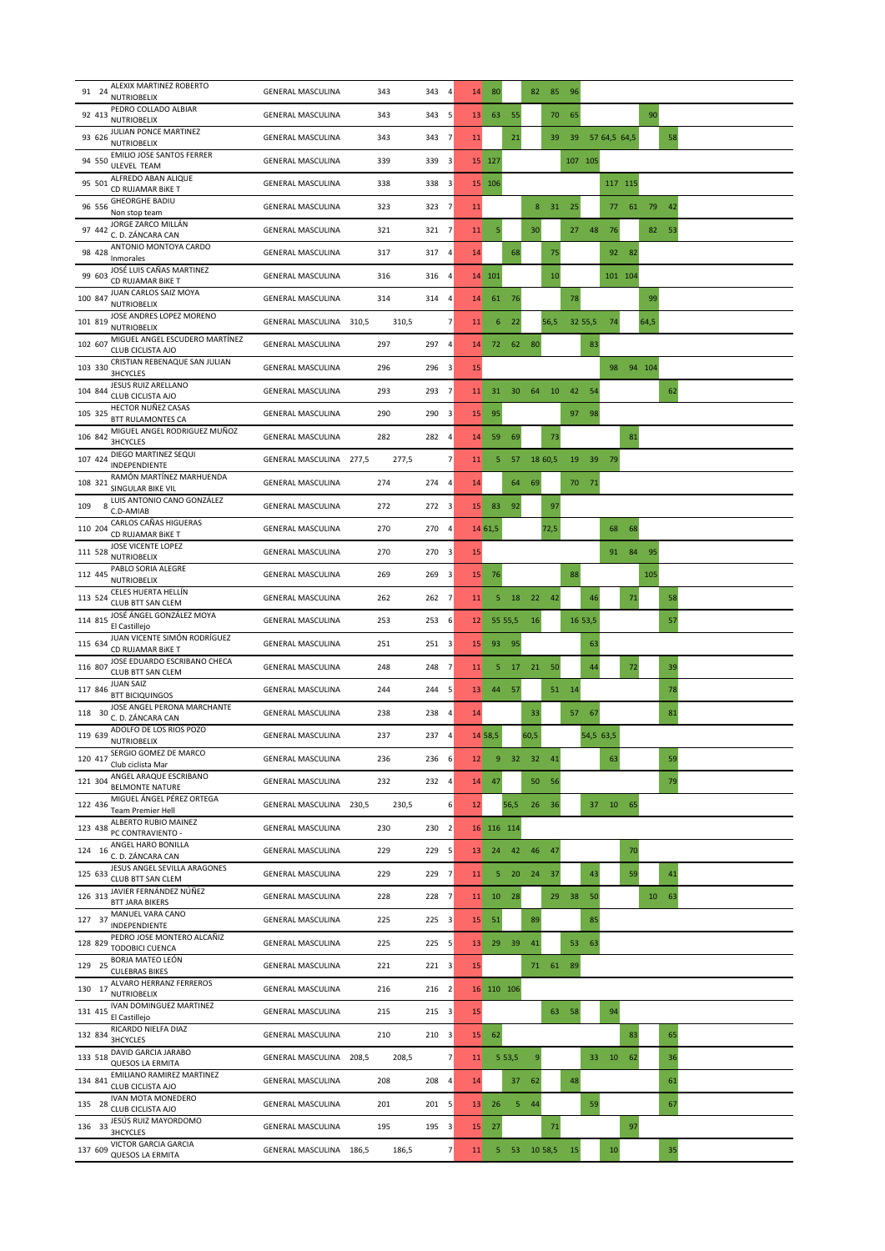| ALEXIX MARTINEZ ROBERTO<br>91 24<br><b>NUTRIOBELIX</b>                | 343<br><b>GENERAL MASCULINA</b><br>343   | 80<br>82 85<br>$\overline{4}$<br>14<br>96                                                 |
|-----------------------------------------------------------------------|------------------------------------------|-------------------------------------------------------------------------------------------|
| PEDRO COLLADO ALBIAR<br>92 413<br><b>NUTRIOBELIX</b>                  | <b>GENERAL MASCULINA</b><br>343<br>343   | 63<br>55<br>90<br>5<br>13<br>70<br>65                                                     |
| JULIAN PONCE MARTINEZ<br>93 626<br><b>NUTRIOBELIX</b>                 | <b>GENERAL MASCULINA</b><br>343<br>343   | $\overline{7}$<br>21<br>39<br>57 64,5 64,5<br>58<br>11<br>39                              |
| EMILIO JOSE SANTOS FERRER<br>94 550<br>ULEVEL TEAM                    | 339<br><b>GENERAL MASCULINA</b><br>339 3 | 107 105<br>15 127                                                                         |
| ALFREDO ABAN ALIQUE<br>95 501<br>CD RUJAMAR BIKE T                    | 338 3<br><b>GENERAL MASCULINA</b><br>338 | 15 106<br>117 115                                                                         |
| <b>GHEORGHE BADIU</b><br>96 556<br>Non stop team                      | <b>GENERAL MASCULINA</b><br>323<br>323 7 | 31<br>25<br>61<br>79<br>11<br>8<br>77<br>$-42$                                            |
| JORGE ZARCO MILLÁN<br>97 442<br>C. D. ZÁNCARA CAN                     | <b>GENERAL MASCULINA</b><br>321<br>321 7 | 30<br>27 48<br>76<br>11<br>5<br>82<br>53                                                  |
| ANTONIO MONTOYA CARDO<br>98 428<br>Inmorales                          | 317 4<br>317<br><b>GENERAL MASCULINA</b> | 68<br>14<br>75<br>92 82                                                                   |
| JOSÉ LUIS CAÑAS MARTINEZ<br>99 603<br>CD RUJAMAR BIKE T               | 316<br>316<br><b>GENERAL MASCULINA</b>   | 14 101<br>10<br>101 104<br>$\overline{a}$                                                 |
| JUAN CARLOS SAIZ MOYA<br>100 847<br><b>NUTRIOBELIX</b>                | <b>GENERAL MASCULINA</b><br>314<br>314 4 | 78<br>99<br>14<br>61<br>76                                                                |
| JOSE ANDRES LOPEZ MORENO<br>101 819<br><b>NUTRIOBELIX</b>             | GENERAL MASCULINA 310,5<br>310,5         | $\overline{\phantom{a}}$<br>$\boldsymbol{6}$<br>22<br>56,5<br>32 55,5<br>74<br>64,5<br>11 |
| MIGUEL ANGEL ESCUDERO MARTÍNEZ<br>102 607<br><b>CLUB CICLISTA AJO</b> | 297<br>297<br><b>GENERAL MASCULINA</b>   | 62<br>80<br>$\overline{a}$<br>72<br>83<br>14                                              |
| CRISTIAN REBENAQUE SAN JULIAN<br>103 330<br>3HCYCLES                  | 296 3<br><b>GENERAL MASCULINA</b><br>296 | 15<br>98 94 104                                                                           |
| JESUS RUIZ ARELLANO<br>104 844<br>CLUB CICLISTA AJO                   | 293<br>293<br><b>GENERAL MASCULINA</b>   | 10<br>42<br>62<br>$\overline{7}$<br>30<br>64<br>54<br>11<br>31                            |
| HECTOR NUÑEZ CASAS<br>105 325<br><b>BTT RULAMONTES CA</b>             | 290<br>290<br><b>GENERAL MASCULINA</b>   | $\overline{\mathbf{3}}$<br>15<br>95<br>97 98                                              |
| MIGUEL ANGEL RODRIGUEZ MUÑOZ<br>106 842<br>3HCYCLES                   | 282<br>282 4<br><b>GENERAL MASCULINA</b> | 59<br>14<br>69<br>73<br>81                                                                |
| DIEGO MARTINEZ SEQUI<br>107 424<br>INDEPENDIENTE                      | GENERAL MASCULINA 277,5<br>277,5         | $\overline{7}$<br>57<br>18 60,5<br>19<br>39<br>5<br>79<br>11                              |
| RAMÓN MARTÍNEZ MARHUENDA<br>108 321<br>SINGULAR BIKE VIL              | <b>GENERAL MASCULINA</b><br>274<br>274 4 | 14<br>64<br>69<br>70 71                                                                   |
| LUIS ANTONIO CANO GONZÁLEZ<br>8<br>109<br>C.D-AMIAB                   | <b>GENERAL MASCULINA</b><br>272<br>272 3 | 92<br>15<br>83<br>97                                                                      |
| CARLOS CAÑAS HIGUERAS<br>110 204<br>CD RUJAMAR BIKE T                 | 270<br>270 4<br><b>GENERAL MASCULINA</b> | 14 61,5<br>72,5<br>68<br>68                                                               |
| JOSE VICENTE LOPEZ<br>111 528<br><b>NUTRIOBELIX</b>                   | 270<br><b>GENERAL MASCULINA</b><br>270   | 15<br>95<br>3<br>91<br>84                                                                 |
| PABLO SORIA ALEGRE<br>112 445<br><b>NUTRIOBELIX</b>                   | 269 3<br><b>GENERAL MASCULINA</b><br>269 | 88<br>105<br>15<br>76                                                                     |
| CELES HUERTA HELLÍN<br>113 524<br>CLUB BTT SAN CLEM                   | 262 7<br><b>GENERAL MASCULINA</b><br>262 | 18<br>5<br>22 42<br>46<br>$71\,$<br>58<br>11                                              |
| JOSÉ ÁNGEL GONZÁLEZ MOYA<br>114 815<br>El Castillejo                  | 253<br>253 6<br><b>GENERAL MASCULINA</b> | 16<br>16 53,5<br>57<br>55 55,5<br>12                                                      |
| JUAN VICENTE SIMÓN RODRÍGUEZ<br>115 634<br>CD RUJAMAR BIKE T          | <b>GENERAL MASCULINA</b><br>251<br>251 3 | 93<br>95<br>15<br>63                                                                      |
| JOSE EDUARDO ESCRIBANO CHECA<br>116 807<br>CLUB BTT SAN CLEM          | <b>GENERAL MASCULINA</b><br>248<br>248   | 21<br>17<br>50<br>44<br>72<br>39<br>$\overline{7}$<br>11<br>5                             |
| <b>JUAN SAIZ</b><br>117 846<br><b>BTT BICIQUINGOS</b>                 | 244 5<br>244<br><b>GENERAL MASCULINA</b> | 51 14<br>44 57<br>13<br>78                                                                |
| JOSE ANGEL PERONA MARCHANTE<br>118 30<br>C. D. ZÁNCARA CAN            | <b>GENERAL MASCULINA</b><br>238<br>238   | 33<br>81<br>$\overline{4}$<br>14<br>57<br>$-67$                                           |
| ADOLFO DE LOS RIOS POZO<br>119 639<br><b>NUTRIOBELIX</b>              | <b>GENERAL MASCULINA</b><br>237<br>237 4 | 14 58,5<br>60,5<br>54,5 63,5                                                              |
| SERGIO GOMEZ DE MARCO<br>120 417<br>Club ciclista Mar                 | 236<br>236 6<br><b>GENERAL MASCULINA</b> | 32<br>32<br>63<br>59<br>9<br>12<br>41                                                     |
| ANGEL ARAQUE ESCRIBANO<br>121 304<br><b>BELMONTE NATURE</b>           | 232 4<br><b>GENERAL MASCULINA</b><br>232 | 47<br>50<br>79<br>14<br>56                                                                |
| MIGUEL ÁNGEL PÉREZ ORTEGA<br>122 436<br><b>Team Premier Hell</b>      | 230,5<br>GENERAL MASCULINA 230,5         | 6<br>37 10 65<br>12<br>56,5<br>26 36                                                      |
| ALBERTO RUBIO MAINEZ<br>123 438<br>PC CONTRAVIENTO -                  | <b>GENERAL MASCULINA</b><br>230<br>230   | $\overline{2}$<br>16 116 114                                                              |
| ANGEL HARO BONILLA<br>124 16<br>C. D. ZÁNCARA CAN                     | <b>GENERAL MASCULINA</b><br>229<br>229   | 42<br>47<br>70<br>5<br>13<br>24<br>46                                                     |
| JESUS ANGEL SEVILLA ARAGONES<br>125 633<br>CLUB BTT SAN CLEM          | 229<br>229 7<br><b>GENERAL MASCULINA</b> | 5<br>20<br>24<br>43<br>59<br>41<br>11<br>37                                               |
| JAVIER FERNÁNDEZ NÚÑEZ<br>126 313<br><b>BTT JARA BIKERS</b>           | 228 7<br><b>GENERAL MASCULINA</b><br>228 | 10 28<br>29<br>38<br>50<br>10 63<br>11                                                    |
| MANUEL VARA CANO<br>127 37<br>INDEPENDIENTE                           | <b>GENERAL MASCULINA</b><br>225<br>225 3 | 51<br>89<br>85<br>15                                                                      |
| PEDRO JOSE MONTERO ALCAÑIZ<br>128 829<br>TODOBICI CUENCA              | 225 5<br><b>GENERAL MASCULINA</b><br>225 | 29<br>39<br>41<br>53<br>13<br>63                                                          |
| BORJA MATEO LEÓN<br>129 25<br><b>CULEBRAS BIKES</b>                   | 221<br>221 3<br><b>GENERAL MASCULINA</b> | 15<br>71 61 89                                                                            |
| ALVARO HERRANZ FERREROS<br>130 17<br><b>NUTRIOBELIX</b>               | 216 2<br><b>GENERAL MASCULINA</b><br>216 | 16 110 106                                                                                |
| IVAN DOMINGUEZ MARTINEZ<br>131 415<br>El Castillejo                   | 215 3<br><b>GENERAL MASCULINA</b><br>215 | 15<br>63<br>58<br>94                                                                      |
| RICARDO NIELFA DIAZ<br>132 834<br><b>3HCYCLES</b>                     | 210<br>210 3<br><b>GENERAL MASCULINA</b> | 15<br>62<br>83<br>65                                                                      |
| DAVID GARCIA JARABO<br>133 518<br><b>QUESOS LA ERMITA</b>             | GENERAL MASCULINA<br>208,5<br>208,5      | 9<br>7<br>5 5 3, 5<br>62<br>11<br>33<br>10<br>36                                          |
| EMILIANO RAMIREZ MARTINEZ<br>134 841<br>CLUB CICLISTA AJO             | 208<br>208 4<br><b>GENERAL MASCULINA</b> | 14<br>37<br>62<br>48<br>61                                                                |
| <b>IVAN MOTA MONEDERO</b><br>135 28<br>CLUB CICLISTA AJO              | 201<br>201<br><b>GENERAL MASCULINA</b>   | 26<br>$5 - 44$<br>59<br>67<br>5<br>13                                                     |
| JESÚS RUIZ MAYORDOMO<br>136 33<br><b>3HCYCLES</b>                     | 195 3<br><b>GENERAL MASCULINA</b><br>195 | 15<br>27<br>71<br>97                                                                      |
| VICTOR GARCIA GARCIA<br>137 609<br><b>QUESOS LA ERMITA</b>            | 186,5<br>GENERAL MASCULINA 186,5         | $\overline{\phantom{a}}$<br>5<br>- 53<br>10 58,5<br>15<br>11<br>10<br>35                  |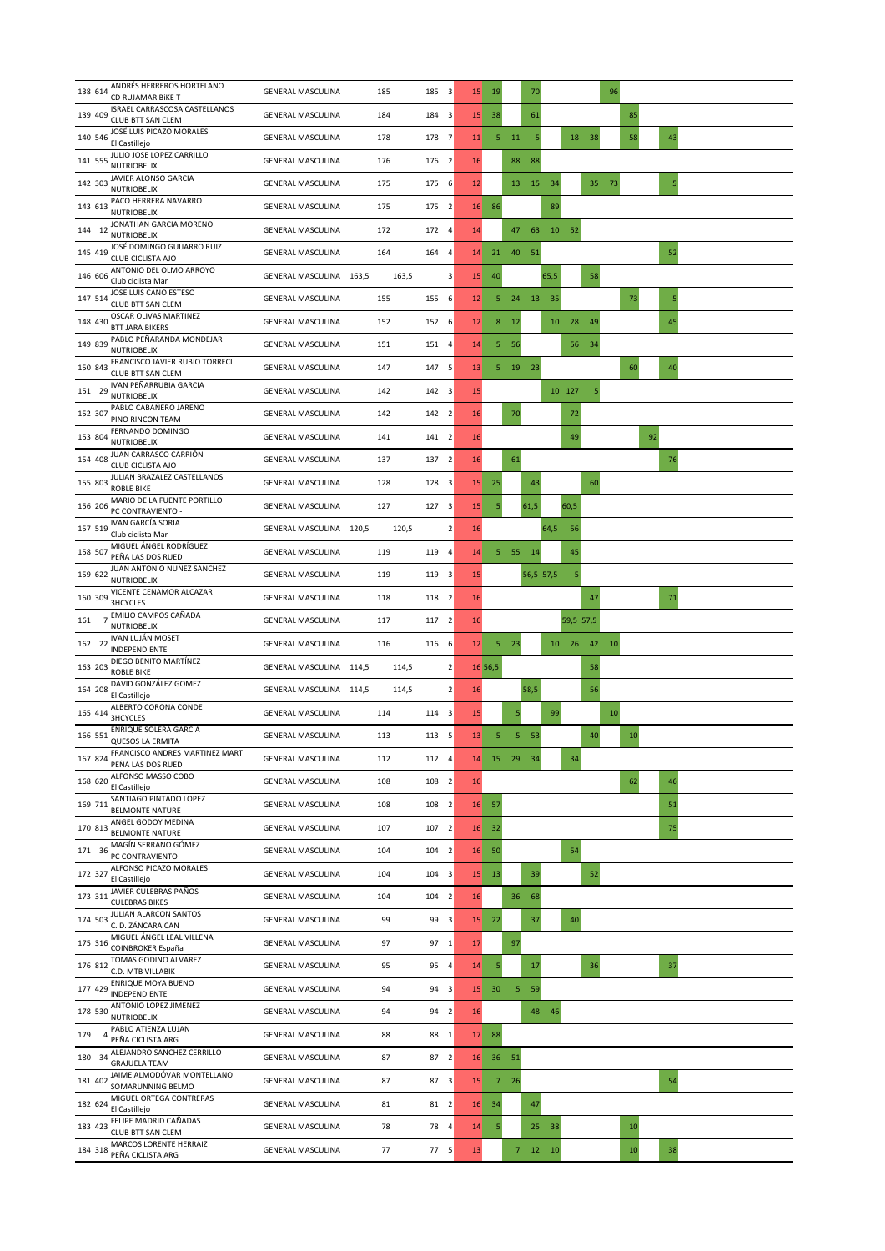| ANDRÉS HERREROS HORTELANO<br>138 614<br>CD RUJAMAR BIKE T             | <b>GENERAL MASCULINA</b> | 185<br>185<br>$\overline{\mathbf{3}}$ | 15              | 19            |                       | 70                      |           |       | 96 |    |    |  |
|-----------------------------------------------------------------------|--------------------------|---------------------------------------|-----------------|---------------|-----------------------|-------------------------|-----------|-------|----|----|----|--|
| ISRAEL CARRASCOSA CASTELLANOS<br>139 409<br><b>CLUB BTT SAN CLEM</b>  | <b>GENERAL MASCULINA</b> | 184<br>184<br>3                       | 15              | 38            |                       | 61                      |           |       |    | 85 |    |  |
| JOSÉ LUIS PICAZO MORALES<br>140 546<br>El Castillejo                  | <b>GENERAL MASCULINA</b> | 178 7<br>178                          | 11              | 5             | 11                    | 5                       | 18        | 38    |    | 58 | 43 |  |
| JULIO JOSE LOPEZ CARRILLO<br>141 555<br><b>NUTRIOBELIX</b>            | <b>GENERAL MASCULINA</b> | 176<br>176 2                          | 16              |               | 88<br>88              |                         |           |       |    |    |    |  |
| JAVIER ALONSO GARCIA<br>142 303<br><b>NUTRIOBELIX</b>                 | <b>GENERAL MASCULINA</b> | 175<br>6<br>175                       | 12              |               | 13                    | 15<br>34                |           | 35 73 |    |    | 5  |  |
| PACO HERRERA NAVARRO<br>143 613<br><b>NUTRIOBELIX</b>                 | <b>GENERAL MASCULINA</b> | 175 2<br>175                          | 16              | 86            |                       | 89                      |           |       |    |    |    |  |
| JONATHAN GARCIA MORENO<br>144 12<br><b>NUTRIOBELIX</b>                | <b>GENERAL MASCULINA</b> | 172<br>172<br>$\overline{4}$          | 14              |               | 47                    | 63<br>10                | $-52$     |       |    |    |    |  |
| JOSÉ DOMINGO GUIJARRO RUIZ<br>145 419<br>CLUB CICLISTA AJO            | <b>GENERAL MASCULINA</b> | $\overline{4}$<br>164<br>164          | 14              | 21            | 40<br>$-51$           |                         |           |       |    |    | 52 |  |
| ANTONIO DEL OLMO ARROYO<br>146 606<br>Club ciclista Mar               | GENERAL MASCULINA 163,5  | 3<br>163,5                            | 15              | 40            |                       | 65,5                    |           | 58    |    |    |    |  |
| JOSE LUIS CANO ESTESO<br>147 514<br>CLUB BTT SAN CLEM                 | <b>GENERAL MASCULINA</b> | 155 6<br>155                          | 12              | 5             | 24                    | 13 35                   |           |       |    | 73 | 5  |  |
| OSCAR OLIVAS MARTINEZ<br>148 430<br><b>BTT JARA BIKERS</b>            | <b>GENERAL MASCULINA</b> | 152<br>152 6                          | 12              | $\bf8$        | 12                    | 10                      | 28        | 49    |    |    | 45 |  |
| PABLO PEÑARANDA MONDEJAR<br>149 839<br><b>NUTRIOBELIX</b>             | <b>GENERAL MASCULINA</b> | 151<br>151 4                          | 14              | 5             | 56                    |                         | 56        | 34    |    |    |    |  |
| FRANCISCO JAVIER RUBIO TORRECI<br>150 843<br><b>CLUB BTT SAN CLEM</b> | <b>GENERAL MASCULINA</b> | 147 5<br>147                          | 13              |               | 23<br>$5 - 19$        |                         |           |       |    | 60 | 40 |  |
| IVAN PEÑARRUBIA GARCIA<br>151 29<br><b>NUTRIOBELIX</b>                | <b>GENERAL MASCULINA</b> | 142<br>142 3                          | 15              |               |                       |                         | 10 127    | 5     |    |    |    |  |
| PABLO CABAÑERO JAREÑO<br>152 307<br>PINO RINCON TEAM                  | <b>GENERAL MASCULINA</b> | 142 2<br>142                          | 16              |               | 70                    |                         | 72        |       |    |    |    |  |
| FERNANDO DOMINGO<br>153 804<br><b>NUTRIOBELIX</b>                     | <b>GENERAL MASCULINA</b> | 141 2<br>141                          | 16              |               |                       |                         | 49        |       |    | 92 |    |  |
| JUAN CARRASCO CARRIÓN<br>154 408<br>CLUB CICLISTA AJO                 | <b>GENERAL MASCULINA</b> | 137 2<br>137                          | 16              |               | 61                    |                         |           |       |    |    | 76 |  |
| JULIAN BRAZALEZ CASTELLANOS<br>155 803<br><b>ROBLE BIKE</b>           | <b>GENERAL MASCULINA</b> | 128 3<br>128                          | 15              | 25            |                       | 43                      |           | 60    |    |    |    |  |
| MARIO DE LA FUENTE PORTILLO<br>156 206<br>PC CONTRAVIENTO -           | <b>GENERAL MASCULINA</b> | 127 3<br>127                          | 15              | 5             | 61,5                  |                         | 60,5      |       |    |    |    |  |
| <b>IVAN GARCÍA SORIA</b><br>157 519<br>Club ciclista Mar              | GENERAL MASCULINA 120,5  | $\mathbf 2$<br>120,5                  | 16              |               |                       | 64,5                    | 56        |       |    |    |    |  |
| MIGUEL ÁNGEL RODRÍGUEZ<br>158 507<br>PEÑA LAS DOS RUED                | <b>GENERAL MASCULINA</b> | 119<br>119<br>$\overline{4}$          | 14              | 5             | 55<br>14              |                         | 45        |       |    |    |    |  |
| JUAN ANTONIO NUÑEZ SANCHEZ<br>159 622<br><b>NUTRIOBELIX</b>           | <b>GENERAL MASCULINA</b> | 119 3<br>119                          | 15              |               |                       | 56,5 57,5               | 5         |       |    |    |    |  |
| VICENTE CENAMOR ALCAZAR<br>160 309<br>3HCYCLES                        | <b>GENERAL MASCULINA</b> | 118<br>118 2                          | 16              |               |                       |                         |           | 47    |    |    | 71 |  |
| EMILIO CAMPOS CAÑADA<br>161<br><b>NUTRIOBELIX</b>                     | <b>GENERAL MASCULINA</b> | 117<br>117 2                          | 16              |               |                       |                         | 59,5 57,5 |       |    |    |    |  |
| IVAN LUJÁN MOSET<br>162 22<br>INDEPENDIENTE                           | <b>GENERAL MASCULINA</b> | 116 6<br>116                          | 12              | 5             | 23                    |                         | 10 26     | $-42$ | 10 |    |    |  |
| DIEGO BENITO MARTÍNEZ<br>163 203<br><b>ROBLE BIKE</b>                 | GENERAL MASCULINA 114,5  | $\mathbf 2$<br>114,5                  |                 | 16 56,5       |                       |                         |           | 58    |    |    |    |  |
| DAVID GONZÁLEZ GOMEZ<br>164 208<br>El Castillejo                      | GENERAL MASCULINA 114,5  | $\overline{2}$<br>114,5               | 16              |               | 58,5                  |                         |           | 56    |    |    |    |  |
| ALBERTO CORONA CONDE<br>165 414<br><b>3HCYCLES</b>                    | <b>GENERAL MASCULINA</b> | 114<br>114<br>$\overline{\mathbf{3}}$ | 15              |               | 5                     | 99                      |           |       | 10 |    |    |  |
| ENRIQUE SOLERA GARCÍA<br>166 551<br><b>QUESOS LA ERMITA</b>           | <b>GENERAL MASCULINA</b> | 113 5<br>113                          | 13              | 5             | $5 -$<br>53           |                         |           | 40    |    | 10 |    |  |
| FRANCISCO ANDRES MARTINEZ MART<br>167 824<br>PEÑA LAS DOS RUED        | <b>GENERAL MASCULINA</b> | 112<br>112 4                          | 14              | 15            | 29<br>34              |                         | 34        |       |    |    |    |  |
| ALFONSO MASSO COBO<br>168 620<br>El Castillejo                        | <b>GENERAL MASCULINA</b> | 108 2<br>108                          | 16              |               |                       |                         |           |       |    | 62 | 46 |  |
| SANTIAGO PINTADO LOPEZ<br>169 711<br><b>BELMONTE NATURE</b>           | <b>GENERAL MASCULINA</b> | 108 2<br>108                          | 16              | 57            |                       |                         |           |       |    |    | 51 |  |
| ANGEL GODOY MEDINA<br>170 813<br><b>BELMONTE NATURE</b>               | <b>GENERAL MASCULINA</b> | 107<br>107 2                          | 16              | 32            |                       |                         |           |       |    |    | 75 |  |
| MAGÍN SERRANO GÓMEZ<br>171 36<br>PC CONTRAVIENTO -                    | <b>GENERAL MASCULINA</b> | 104 2<br>104                          | 16              | 50            |                       |                         | 54        |       |    |    |    |  |
| ALFONSO PICAZO MORALES<br>172 327<br>El Castillejo                    | <b>GENERAL MASCULINA</b> | 104 3<br>104                          | 15              | <sup>13</sup> |                       | 39                      |           | 52    |    |    |    |  |
| JAVIER CULEBRAS PAÑOS<br>173 311<br><b>CULEBRAS BIKES</b>             | <b>GENERAL MASCULINA</b> | 104 2<br>104                          | 16              |               | 36 <sup>2</sup><br>68 |                         |           |       |    |    |    |  |
| JULIAN ALARCON SANTOS<br>174 503<br>C. D. ZÁNCARA CAN                 | <b>GENERAL MASCULINA</b> | 99 3<br>99                            |                 | $15$ 22       |                       | 37                      | 40        |       |    |    |    |  |
| MIGUEL ÁNGEL LEAL VILLENA<br>175 316<br>COINBROKER España             | <b>GENERAL MASCULINA</b> | 97 1<br>97                            | 17              |               | 97                    |                         |           |       |    |    |    |  |
| TOMAS GODINO ALVAREZ<br>176 812<br>C.D. MTB VILLABIK                  | <b>GENERAL MASCULINA</b> | 95 4<br>95                            | 14              | 5             |                       | 17                      |           | 36    |    |    | 37 |  |
| ENRIQUE MOYA BUENO<br>177 429<br>INDEPENDIENTE                        | <b>GENERAL MASCULINA</b> | 94<br>94 3                            | 15              | 30            | $\overline{5}$<br>59  |                         |           |       |    |    |    |  |
| ANTONIO LOPEZ JIMENEZ<br>178 530<br>NUTRIOBELIX                       | <b>GENERAL MASCULINA</b> | 94 2<br>94                            | 16              |               |                       | 48 46                   |           |       |    |    |    |  |
| PABLO ATIENZA LUJAN<br>179<br>PEÑA CICLISTA ARG                       | <b>GENERAL MASCULINA</b> | 88 1<br>88                            | 17 <sup>2</sup> | 88            |                       |                         |           |       |    |    |    |  |
| ALEJANDRO SANCHEZ CERRILLO<br>180 34<br><b>GRAJUELA TEAM</b>          | <b>GENERAL MASCULINA</b> | 87 2<br>87                            | 16              | 36            | 51                    |                         |           |       |    |    |    |  |
| JAIME ALMODÓVAR MONTELLANO<br>181 402<br>SOMARUNNING BELMO            | <b>GENERAL MASCULINA</b> | 87 3<br>87                            | 15              |               | 726                   |                         |           |       |    |    | 54 |  |
| MIGUEL ORTEGA CONTRERAS<br>182 624<br>El Castillejo                   | <b>GENERAL MASCULINA</b> | 81 2<br>81                            | 16              | 34            |                       | 47                      |           |       |    |    |    |  |
| FELIPE MADRID CAÑADAS<br>183 423<br>CLUB BTT SAN CLEM                 | <b>GENERAL MASCULINA</b> | 78<br>78 4                            | 14              | 5             |                       | 25 <sub>1</sub><br>38   |           |       |    | 10 |    |  |
| MARCOS LORENTE HERRAIZ<br>184 318<br>PEÑA CICLISTA ARG                | <b>GENERAL MASCULINA</b> | 77<br>77 5                            | 13              |               |                       | $7 \qquad 12 \qquad 10$ |           |       |    | 10 | 38 |  |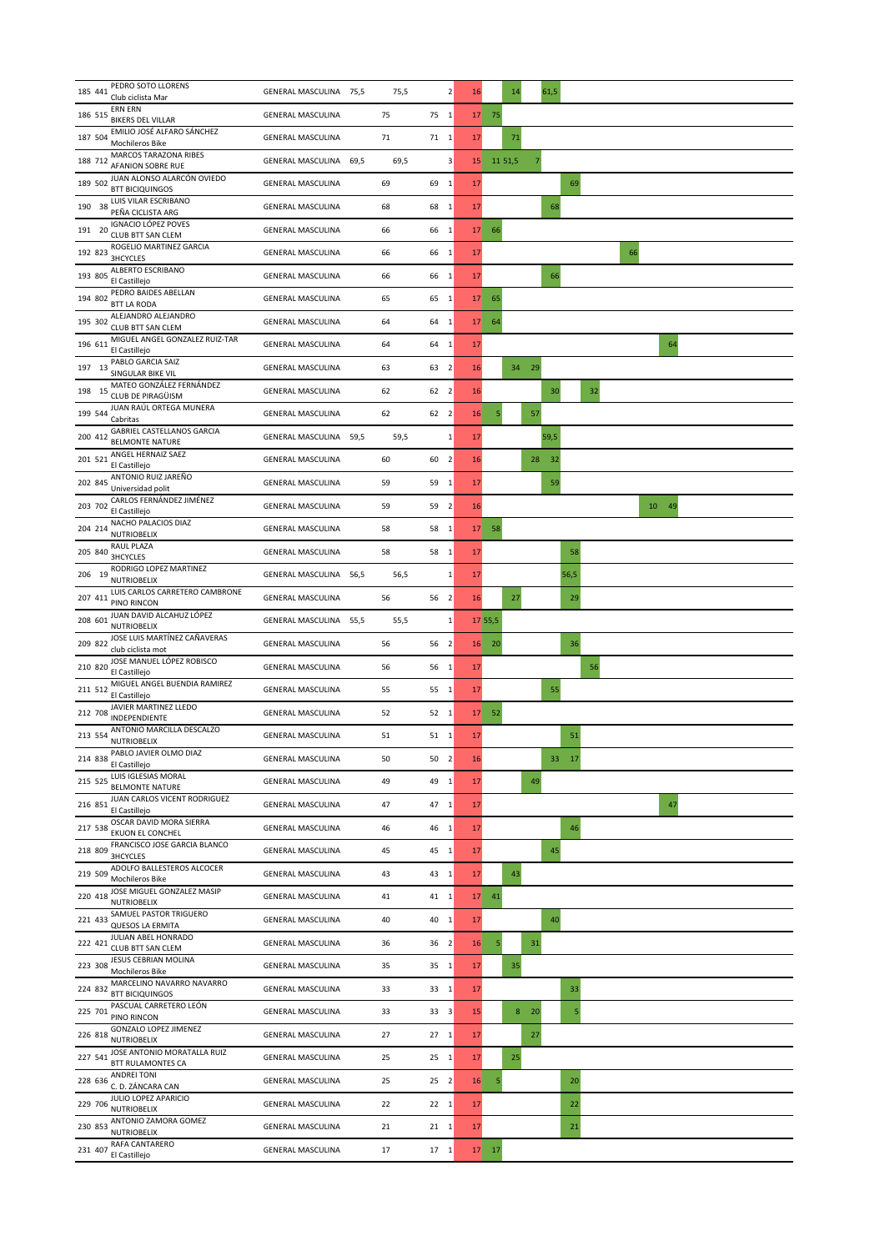| 185 441 | PEDRO SOTO LLORENS<br>Club ciclista Mar                      | GENERAL MASCULINA 75,5    | 75,5   | $\overline{\mathbf{2}}$ | 16              | 14        | 61,5      |       |
|---------|--------------------------------------------------------------|---------------------------|--------|-------------------------|-----------------|-----------|-----------|-------|
| 186 515 | <b>ERN ERN</b><br><b>BIKERS DEL VILLAR</b>                   | <b>GENERAL MASCULINA</b>  | 75     | 75 1                    | 17              | 75        |           |       |
| 187 504 | EMILIO JOSÉ ALFARO SÁNCHEZ<br>Mochileros Bike                | <b>GENERAL MASCULINA</b>  | $71\,$ | $71 \quad 1$            | 17              | $71\,$    |           |       |
| 188 712 | MARCOS TARAZONA RIBES<br>AFANION SOBRE RUE                   | 69,5<br>GENERAL MASCULINA | 69,5   | 3                       | 15              | 11 51,5   |           |       |
|         | 189 502 JUAN ALONSO ALARCÓN OVIEDO<br><b>BTT BICIQUINGOS</b> | <b>GENERAL MASCULINA</b>  | 69     | 69 1                    | 17              |           |           | 69    |
| 190 38  | LUIS VILAR ESCRIBANO<br>PEÑA CICLISTA ARG                    | <b>GENERAL MASCULINA</b>  | 68     | 68 1                    | 17              |           | 68        |       |
| 191 20  | <b>IGNACIO LÓPEZ POVES</b><br>CLUB BTT SAN CLEM              | <b>GENERAL MASCULINA</b>  | 66     | 66 1                    | 17              | 66        |           |       |
| 192 823 | ROGELIO MARTINEZ GARCIA<br><b>3HCYCLES</b>                   | <b>GENERAL MASCULINA</b>  | 66     | 66 1                    | 17              |           |           | 66    |
| 193 805 | ALBERTO ESCRIBANO<br>El Castillejo                           | <b>GENERAL MASCULINA</b>  | 66     | 66 1                    | 17              |           | 66        |       |
| 194 802 | PEDRO BAIDES ABELLAN<br><b>BTT LA RODA</b>                   | <b>GENERAL MASCULINA</b>  | 65     | 65 1                    | 17              | 65        |           |       |
| 195 302 | ALEJANDRO ALEJANDRO<br><b>CLUB BTT SAN CLEM</b>              | <b>GENERAL MASCULINA</b>  | 64     | 64<br>$\overline{1}$    | 17              | 64        |           |       |
| 196 611 | MIGUEL ANGEL GONZALEZ RUIZ-TAR<br>El Castillejo              | <b>GENERAL MASCULINA</b>  | 64     | 64 1                    | 17              |           |           | 64    |
| 197 13  | PABLO GARCIA SAIZ<br>SINGULAR BIKE VIL                       | <b>GENERAL MASCULINA</b>  | 63     | 63 2                    | 16              | 34        | 29        |       |
| 198 15  | MATEO GONZÁLEZ FERNÁNDEZ<br>CLUB DE PIRAGÜISM                | <b>GENERAL MASCULINA</b>  | 62     | 62 2                    | 16              |           | 30        | 32    |
| 199 544 | JUAN RAÚL ORTEGA MUNERA<br>Cabritas                          | <b>GENERAL MASCULINA</b>  | 62     | 62 2                    | 16              | 5         | 57        |       |
| 200 412 | GABRIEL CASTELLANOS GARCIA<br><b>BELMONTE NATURE</b>         | GENERAL MASCULINA<br>59,5 | 59,5   | $\mathbf 1$             | 17              |           | 59,5      |       |
| 201 521 | ANGEL HERNAIZ SAEZ<br>El Castillejo                          | <b>GENERAL MASCULINA</b>  | 60     | 60 2                    | 16              |           | $28 - 32$ |       |
| 202 845 | ANTONIO RUIZ JAREÑO<br>Universidad polit                     | <b>GENERAL MASCULINA</b>  | 59     | 59 1                    | 17              |           | 59        |       |
| 203 702 | CARLOS FERNÁNDEZ JIMÉNEZ<br>El Castillejo                    | <b>GENERAL MASCULINA</b>  | 59     | 59 2                    | 16              |           |           | 10 49 |
| 204 214 | NACHO PALACIOS DIAZ<br><b>NUTRIOBELIX</b>                    | <b>GENERAL MASCULINA</b>  | 58     | 58 1                    | 17 <sup>2</sup> | 58        |           |       |
| 205 840 | RAUL PLAZA<br><b>3HCYCLES</b>                                | <b>GENERAL MASCULINA</b>  | 58     | 58 1                    | 17              |           |           | 58    |
| 206 19  | RODRIGO LOPEZ MARTINEZ<br><b>NUTRIOBELIX</b>                 | GENERAL MASCULINA 56,5    | 56,5   | $\mathbf 1$             | 17              |           |           | 56,5  |
| 207 411 | LUIS CARLOS CARRETERO CAMBRONE<br>PINO RINCON                | <b>GENERAL MASCULINA</b>  | 56     | 56 2                    | 16              | 27        |           | 29    |
| 208 601 | JUAN DAVID ALCAHUZ LÓPEZ<br><b>NUTRIOBELIX</b>               | GENERAL MASCULINA 55,5    | 55,5   | $\mathbf 1$             |                 | 17 55,5   |           |       |
| 209 822 | JOSE LUIS MARTÍNEZ CAÑAVERAS<br>club ciclista mot            | <b>GENERAL MASCULINA</b>  | 56     | 56 2                    | 16              | 20        |           | 36    |
| 210 820 | JOSE MANUEL LÓPEZ ROBISCO<br>El Castillejo                   | <b>GENERAL MASCULINA</b>  | 56     | 56 1                    | 17              |           |           | 56    |
| 211 512 | MIGUEL ANGEL BUENDIA RAMIREZ<br>El Castillejo                | <b>GENERAL MASCULINA</b>  | 55     | 55 1                    | 17              |           | 55        |       |
| 212 708 | JAVIER MARTINEZ LLEDO<br>INDEPENDIENTE                       | <b>GENERAL MASCULINA</b>  | 52     | 52<br>$\mathbf{1}$      | 17              | 52        |           |       |
| 213 554 | ANTONIO MARCILLA DESCALZO<br><b>NUTRIOBELIX</b>              | <b>GENERAL MASCULINA</b>  | 51     | 51 1                    | 17              |           |           | 51    |
| 214 838 | PABLO JAVIER OLMO DIAZ<br>El Castillejo                      | <b>GENERAL MASCULINA</b>  | 50     | 50 2                    | 16              |           | 33        | 17    |
| 215 525 | LUIS IGLESIAS MORAL<br><b>BELMONTE NATURE</b>                | <b>GENERAL MASCULINA</b>  | 49     | 49 1                    | 17              |           | 49        |       |
| 216 851 | JUAN CARLOS VICENT RODRIGUEZ<br>El Castillejo                | <b>GENERAL MASCULINA</b>  | 47     | 47 1                    | 17              |           |           | 47    |
| 217 538 | OSCAR DAVID MORA SIERRA<br>EKUON EL CONCHEL                  | <b>GENERAL MASCULINA</b>  | 46     | 46 1                    | 17              |           |           | 46    |
| 218 809 | FRANCISCO JOSE GARCIA BLANCO<br><b>3HCYCLES</b>              | <b>GENERAL MASCULINA</b>  | 45     | 45 1                    | 17              |           | 45        |       |
| 219 509 | ADOLFO BALLESTEROS ALCOCER<br>Mochileros Bike                | <b>GENERAL MASCULINA</b>  | 43     | 43 1                    | 17              | 43        |           |       |
| 220 418 | JOSE MIGUEL GONZALEZ MASIP<br>NUTRIOBELIX                    | <b>GENERAL MASCULINA</b>  | 41     | 41 1                    | 17 <sup>2</sup> | 41        |           |       |
| 221 433 | SAMUEL PASTOR TRIGUERO<br><b>QUESOS LA ERMITA</b>            | <b>GENERAL MASCULINA</b>  | 40     | 40 1                    | 17              |           | 40        |       |
| 222 421 | JULIAN ABEL HONRADO<br>CLUB BTT SAN CLEM                     | <b>GENERAL MASCULINA</b>  | 36     | 36 2                    | 16              | 5         | 31        |       |
| 223 308 | JESUS CEBRIAN MOLINA<br>Mochileros Bike                      | <b>GENERAL MASCULINA</b>  | 35     | 35 1                    | 17              | 35        |           |       |
| 224 832 | MARCELINO NAVARRO NAVARRO<br><b>BTT BICIQUINGOS</b>          | <b>GENERAL MASCULINA</b>  | 33     | 33<br>$\mathbf{1}$      | 17              |           |           | 33    |
| 225 701 | PASCUAL CARRETERO LEÓN<br>PINO RINCON                        | <b>GENERAL MASCULINA</b>  | 33     | 33 3                    | 15              | 8         | 20        |       |
| 226 818 | GONZALO LOPEZ JIMENEZ<br><b>NUTRIOBELIX</b>                  | <b>GENERAL MASCULINA</b>  | 27     | $27 - 1$                | 17              |           | 27        |       |
| 227 541 | JOSE ANTONIO MORATALLA RUIZ<br><b>BTT RULAMONTES CA</b>      | <b>GENERAL MASCULINA</b>  | 25     | $25 \t1$                | 17              | 25        |           |       |
| 228 636 | ANDREI TONI<br>C. D. ZÁNCARA CAN                             | <b>GENERAL MASCULINA</b>  | 25     | 25 <sub>2</sub>         | 16              | 5         |           | 20    |
| 229 706 | JULIO LOPEZ APARICIO<br><b>NUTRIOBELIX</b>                   | <b>GENERAL MASCULINA</b>  | 22     | $22 \quad 1$            | $17\,$          |           |           | 22    |
| 230 853 | ANTONIO ZAMORA GOMEZ<br><b>NUTRIOBELIX</b>                   | <b>GENERAL MASCULINA</b>  | 21     | $21 \quad 1$            | 17              |           |           | 21    |
| 231 407 | RAFA CANTARERO<br>El Castillejo                              | <b>GENERAL MASCULINA</b>  | 17     | $17\quad1$              |                 | $17 - 17$ |           |       |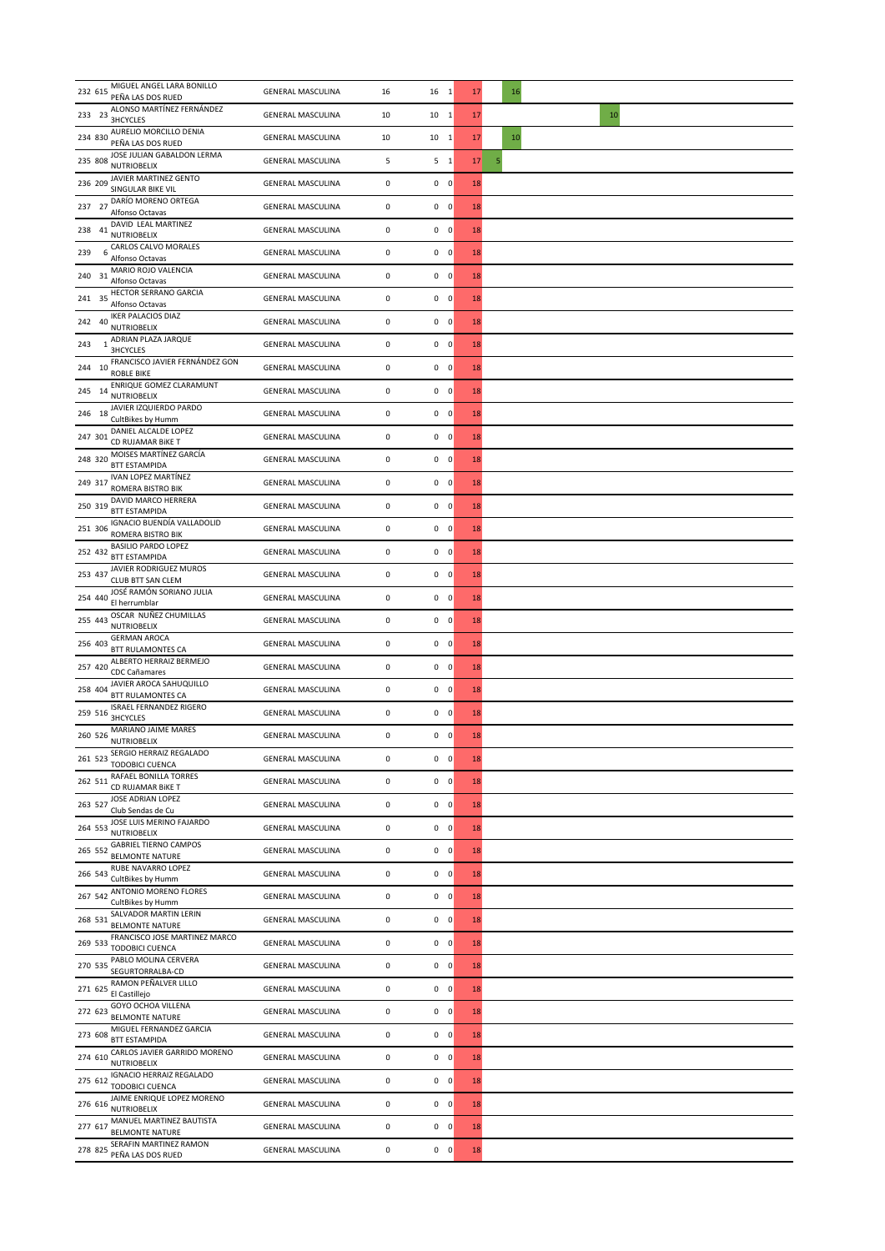| MIGUEL ANGEL LARA BONILLO<br>232 615<br>PEÑA LAS DOS RUED         | <b>GENERAL MASCULINA</b> | 16        | 16 1           | 17 | 16     |
|-------------------------------------------------------------------|--------------------------|-----------|----------------|----|--------|
| ALONSO MARTÍNEZ FERNÁNDEZ<br>233 23<br><b>3HCYCLES</b>            | <b>GENERAL MASCULINA</b> | 10        | $10\quad 1$    | 17 | 10     |
| AURELIO MORCILLO DENIA<br>234 830<br>PEÑA LAS DOS RUED            | <b>GENERAL MASCULINA</b> | 10        | $10\quad 1$    | 17 | $10\,$ |
| JOSE JULIAN GABALDON LERMA<br>235 808<br><b>NUTRIOBELIX</b>       | <b>GENERAL MASCULINA</b> | 5         | 5 <sub>1</sub> | 17 | 5      |
| JAVIER MARTINEZ GENTO<br>236 209<br>SINGULAR BIKE VIL             | <b>GENERAL MASCULINA</b> | $\pmb{0}$ | $0\quad 0$     | 18 |        |
| DARÍO MORENO ORTEGA<br>237 27<br>Alfonso Octavas                  | <b>GENERAL MASCULINA</b> | $\pmb{0}$ | $0\quad 0$     | 18 |        |
| DAVID LEAL MARTINEZ<br>238 41<br>NUTRIOBELIX                      | <b>GENERAL MASCULINA</b> | $\pmb{0}$ | $0\quad 0$     | 18 |        |
| CARLOS CALVO MORALES<br>6<br>239<br>Alfonso Octavas               | <b>GENERAL MASCULINA</b> | $\pmb{0}$ | $0\quad 0$     | 18 |        |
| MARIO ROJO VALENCIA<br>240 31<br>Alfonso Octavas                  | <b>GENERAL MASCULINA</b> | $\pmb{0}$ | $0\quad 0$     | 18 |        |
| HECTOR SERRANO GARCIA<br>241 35<br>Alfonso Octavas                | <b>GENERAL MASCULINA</b> | $\pmb{0}$ | $0\quad 0$     | 18 |        |
| <b>IKER PALACIOS DIAZ</b><br>242 40<br><b>NUTRIOBELIX</b>         | <b>GENERAL MASCULINA</b> | $\pmb{0}$ | $0\quad 0$     | 18 |        |
| ADRIAN PLAZA JARQUE<br>243<br><b>3HCYCLES</b>                     | <b>GENERAL MASCULINA</b> | $\pmb{0}$ | $0\quad 0$     | 18 |        |
| FRANCISCO JAVIER FERNÁNDEZ GON<br>244 10<br><b>ROBLE BIKE</b>     | <b>GENERAL MASCULINA</b> | $\pmb{0}$ | $0\quad 0$     | 18 |        |
| ENRIQUE GOMEZ CLARAMUNT<br>245 14<br><b>NUTRIOBELIX</b>           | <b>GENERAL MASCULINA</b> | $\pmb{0}$ | $0\quad 0$     | 18 |        |
| JAVIER IZQUIERDO PARDO<br>246 18<br>CultBikes by Humm             | <b>GENERAL MASCULINA</b> | $\pmb{0}$ | $0\quad 0$     | 18 |        |
| DANIEL ALCALDE LOPEZ<br>247 301<br>CD RUJAMAR BIKE T              | <b>GENERAL MASCULINA</b> | $\pmb{0}$ | $0\quad 0$     | 18 |        |
| MOISES MARTÍNEZ GARCÍA<br>248 320<br><b>BTT ESTAMPIDA</b>         | <b>GENERAL MASCULINA</b> | $\pmb{0}$ | $0\quad 0$     | 18 |        |
| IVAN LOPEZ MARTÍNEZ<br>249 317<br>ROMERA BISTRO BIK               | <b>GENERAL MASCULINA</b> | $\pmb{0}$ | $0\quad 0$     | 18 |        |
| DAVID MARCO HERRERA<br>250 319<br><b>BTT ESTAMPIDA</b>            | <b>GENERAL MASCULINA</b> | $\pmb{0}$ | $0\quad 0$     | 18 |        |
| IGNACIO BUENDÍA VALLADOLID<br>251 306<br>ROMERA BISTRO BIK        | <b>GENERAL MASCULINA</b> | $\pmb{0}$ | $0\quad 0$     | 18 |        |
| <b>BASILIO PARDO LOPEZ</b><br>252 432<br><b>BTT ESTAMPIDA</b>     | <b>GENERAL MASCULINA</b> | $\pmb{0}$ | $0\quad 0$     | 18 |        |
| JAVIER RODRIGUEZ MUROS<br>253 437<br>CLUB BTT SAN CLEM            | <b>GENERAL MASCULINA</b> | $\pmb{0}$ | $0\quad 0$     | 18 |        |
| JOSÉ RAMÓN SORIANO JULIA<br>254 440<br>El herrumblar              | <b>GENERAL MASCULINA</b> | $\pmb{0}$ | $0\quad 0$     | 18 |        |
| OSCAR NUÑEZ CHUMILLAS<br>255 443<br><b>NUTRIOBELIX</b>            | <b>GENERAL MASCULINA</b> | $\pmb{0}$ | $0\quad 0$     | 18 |        |
| <b>GERMAN AROCA</b><br>256 403<br>BTT RULAMONTES CA               | <b>GENERAL MASCULINA</b> | $\pmb{0}$ | $0\quad 0$     | 18 |        |
| ALBERTO HERRAIZ BERMEJO<br>257 420<br>CDC Cañamares               | <b>GENERAL MASCULINA</b> | 0         | $0\quad 0$     | 18 |        |
| JAVIER AROCA SAHUQUILLO<br>258 404<br><b>BTT RULAMONTES CA</b>    | <b>GENERAL MASCULINA</b> | $\pmb{0}$ | $0\quad 0$     | 18 |        |
| <b>ISRAEL FERNANDEZ RIGERO</b><br>259 516<br><b>3HCYCLES</b>      | <b>GENERAL MASCULINA</b> | $\pmb{0}$ | $0\quad 0$     | 18 |        |
| MARIANO JAIME MARES<br>260 526<br><b>NUTRIOBELIX</b>              | <b>GENERAL MASCULINA</b> | 0         | $0\quad 0$     | 18 |        |
| SERGIO HERRAIZ REGALADO<br>261 523<br><b>TODOBICI CUENCA</b>      | <b>GENERAL MASCULINA</b> | 0         | $0\quad 0$     | 18 |        |
| RAFAEL BONILLA TORRES<br>262 511<br>CD RUJAMAR BIKE T             | <b>GENERAL MASCULINA</b> | 0         | $0\quad 0$     | 18 |        |
| JOSE ADRIAN LOPEZ<br>263 527<br>Club Sendas de Cu                 | <b>GENERAL MASCULINA</b> | 0         | $0\quad 0$     | 18 |        |
| JOSE LUIS MERINO FAJARDO<br>264 553<br><b>NUTRIOBELIX</b>         | <b>GENERAL MASCULINA</b> | $\pmb{0}$ | $0\quad 0$     | 18 |        |
| <b>GABRIEL TIERNO CAMPOS</b><br>265 552<br><b>BELMONTE NATURE</b> | <b>GENERAL MASCULINA</b> | 0         | $0\quad 0$     | 18 |        |
| RUBE NAVARRO LOPEZ<br>266 543<br>CultBikes by Humm                | <b>GENERAL MASCULINA</b> | 0         | $0\quad 0$     | 18 |        |
| ANTONIO MORENO FLORES<br>267 542<br>CultBikes by Humm             | <b>GENERAL MASCULINA</b> | $\pmb{0}$ | $0\quad 0$     | 18 |        |
| SALVADOR MARTIN LERIN<br>268 531<br><b>BELMONTE NATURE</b>        | <b>GENERAL MASCULINA</b> | 0         | $0\quad 0$     | 18 |        |
| FRANCISCO JOSE MARTINEZ MARCO<br>269 533<br>TODOBICI CUENCA       | <b>GENERAL MASCULINA</b> | 0         | $0\quad 0$     | 18 |        |
| PABLO MOLINA CERVERA<br>270 535<br>SEGURTORRALBA-CD               | <b>GENERAL MASCULINA</b> | $\pmb{0}$ | $0\quad 0$     | 18 |        |
| RAMON PEÑALVER LILLO<br>271 625<br>El Castillejo                  | <b>GENERAL MASCULINA</b> | $\pmb{0}$ | $0\quad 0$     | 18 |        |
| GOYO OCHOA VILLENA<br>272 623<br><b>BELMONTE NATURE</b>           | <b>GENERAL MASCULINA</b> | 0         | $0\quad 0$     | 18 |        |
| MIGUEL FERNANDEZ GARCIA<br>273 608<br><b>BTT ESTAMPIDA</b>        | <b>GENERAL MASCULINA</b> | $\pmb{0}$ | $0\quad 0$     | 18 |        |
| CARLOS JAVIER GARRIDO MORENO<br>274 610 NUTRIOBELIX               | <b>GENERAL MASCULINA</b> | $\pmb{0}$ | $0\quad 0$     | 18 |        |
| <b>IGNACIO HERRAIZ REGALADO</b><br>275 612<br>TODOBICI CUENCA     | <b>GENERAL MASCULINA</b> | $\pmb{0}$ | $0\quad 0$     | 18 |        |
| JAIME ENRIQUE LOPEZ MORENO<br>276 616<br><b>NUTRIOBELIX</b>       | <b>GENERAL MASCULINA</b> | $\pmb{0}$ | $0\quad 0$     | 18 |        |
| MANUEL MARTINEZ BAUTISTA<br>277 617<br><b>BELMONTE NATURE</b>     | <b>GENERAL MASCULINA</b> | $\pmb{0}$ | $0\quad 0$     | 18 |        |
| SERAFIN MARTINEZ RAMON<br>278 825<br>PEÑA LAS DOS RUED            | <b>GENERAL MASCULINA</b> | 0         | $0\quad 0$     | 18 |        |